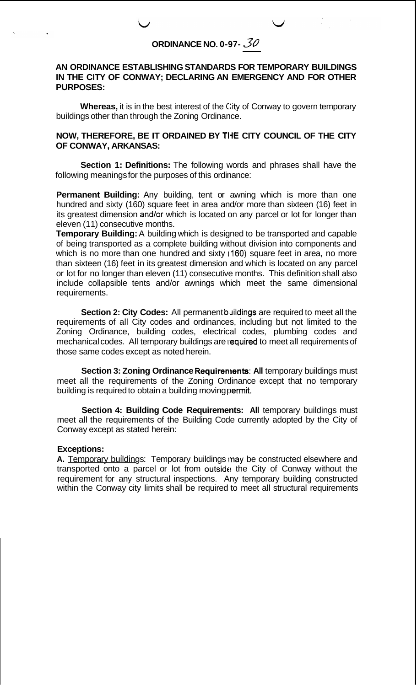## **AN ORDINANCE ESTABLISHING STANDARDS FOR TEMPORARY BUILDINGS IN THE CITY OF CONWAY; DECLARING AN EMERGENCY AND FOR OTHER PURPOSES:**

**Whereas,** it is in the best interest of the City of Conway to govern temporary buildings other than through the Zoning Ordinance.

## **NOW, THEREFORE, BE IT ORDAINED BY THE CITY COUNCIL OF THE CITY OF CONWAY, ARKANSAS:**

**Section 1: Definitions:** The following words and phrases shall have the following meanings for the purposes of this ordinance:

**Permanent Building:** Any building, tent or awning which is more than one hundred and sixty (160) square feet in area and/or more than sixteen (16) feet in its greatest dimension and/or which is located on any parcel or lot for longer than eleven (11) consecutive months.

**Temporary Building:** A building which is designed to be transported and capable of being transported as a complete building without division into components and which is no more than one hundred and sixty (160) square feet in area, no more than sixteen (16) feet in its greatest dimension and which is located on any parcel or lot for no longer than eleven (11) consecutive months. This definition shall also include collapsible tents and/or awnings which meet the same dimensional requirements.

**Section 2: City Codes:** All permanent buildings are required to meet all the requirements of all City codes and ordinances, including but not limited to the Zoning Ordinance, building codes, electrical codes, plumbing codes and mechanical codes. All temporary buildings are required to meet all requirements of those same codes except as noted herein.

**Section 3: Zoning Ordinance Requirements: All temporary buildings must** meet all the requirements of the Zoning Ordinance except that no temporary building is required to obtain a building moving permit.

**Section 4: Building Code Requirements: All** *temporary buildings must* meet all the requirements of the Building Code currently adopted by the City of Conway except as stated herein:

## Exceptions:

A. Temporary buildings: Temporary buildings may be constructed elsewhere and transported onto a parcel or lot from outside the City of Conway without the requirement for any structural inspections. Any temporary building constructed within the Conway city limits shall be required to meet all structural requirements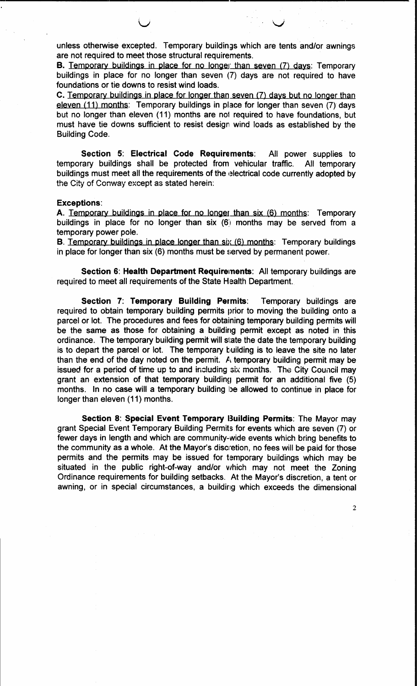unless otherwise excepted. Temporary buildings which are tents and/or awnings are not required to meet those structural requirements.

B. Temporary buildings in place for no longer than seven (7) days: Temporary buildings in place for no longer than seven (7) days are not required to have foundations or tie downs to resist wind loads.

C. Temporary buildings in place for longer than seven (7) days but no longer than eleven (11) months: Temporary buildings in place for longer than seven (7) days but no longer than eleven (11) months are not required to have foundations, but must have tie downs sufficient to resist design wind loads as established by the **Building Code.** 

Section 5: Electrical Code Requirements: All power supplies to temporary buildings shall be protected from vehicular traffic. All temporary buildings must meet all the requirements of the electrical code currently adopted by the City of Conway except as stated herein:

## **Exceptions:**

A. Temporary buildings in place for no longer than six (6) months: Temporary buildings in place for no longer than six (6) months may be served from a temporary power pole.

B. Temporary buildings in place longer than six (6) months: Temporary buildings in place for longer than six (6) months must be served by permanent power.

Section 6: Health Department Requirements: All temporary buildings are required to meet all requirements of the State Health Department.

Section 7: Temporary Building Permits: Temporary buildings are required to obtain temporary building permits prior to moving the building onto a parcel or lot. The procedures and fees for obtaining temporary building permits will be the same as those for obtaining a building permit except as noted in this ordinance. The temporary building permit will state the date the temporary building is to depart the parcel or lot. The temporary building is to leave the site no later than the end of the day noted on the permit. A temporary building permit may be issued for a period of time up to and including six months. The City Council may grant an extension of that temporary building permit for an additional five (5) months. In no case will a temporary building be allowed to continue in place for longer than eleven (11) months.

Section 8: Special Event Temporary Building Permits: The Mayor may grant Special Event Temporary Building Permits for events which are seven (7) or fewer days in length and which are community-wide events which bring benefits to the community as a whole. At the Mayor's discretion, no fees will be paid for those permits and the permits may be issued for temporary buildings which may be situated in the public right-of-way and/or which may not meet the Zoning Ordinance requirements for building setbacks. At the Mayor's discretion, a tent or awning, or in special circumstances, a building which exceeds the dimensional

 $\overline{2}$